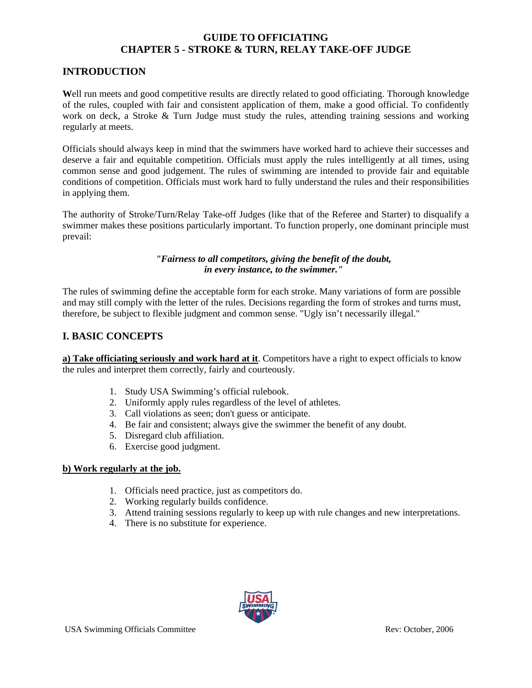# **INTRODUCTION**

**W**ell run meets and good competitive results are directly related to good officiating. Thorough knowledge of the rules, coupled with fair and consistent application of them, make a good official. To confidently work on deck, a Stroke & Turn Judge must study the rules, attending training sessions and working regularly at meets.

Officials should always keep in mind that the swimmers have worked hard to achieve their successes and deserve a fair and equitable competition. Officials must apply the rules intelligently at all times, using common sense and good judgement. The rules of swimming are intended to provide fair and equitable conditions of competition. Officials must work hard to fully understand the rules and their responsibilities in applying them.

The authority of Stroke/Turn/Relay Take-off Judges (like that of the Referee and Starter) to disqualify a swimmer makes these positions particularly important. To function properly, one dominant principle must prevail:

### *"Fairness to all competitors, giving the benefit of the doubt, in every instance, to the swimmer."*

The rules of swimming define the acceptable form for each stroke. Many variations of form are possible and may still comply with the letter of the rules. Decisions regarding the form of strokes and turns must, therefore, be subject to flexible judgment and common sense. "Ugly isn't necessarily illegal."

## **I. BASIC CONCEPTS**

**a) Take officiating seriously and work hard at it**. Competitors have a right to expect officials to know the rules and interpret them correctly, fairly and courteously.

- 1. Study USA Swimming's official rulebook.
- 2. Uniformly apply rules regardless of the level of athletes.
- 3. Call violations as seen; don't guess or anticipate.
- 4. Be fair and consistent; always give the swimmer the benefit of any doubt.
- 5. Disregard club affiliation.
- 6. Exercise good judgment.

#### **b) Work regularly at the job.**

- 1. Officials need practice, just as competitors do.
- 2. Working regularly builds confidence.
- 3. Attend training sessions regularly to keep up with rule changes and new interpretations.
- 4. There is no substitute for experience.

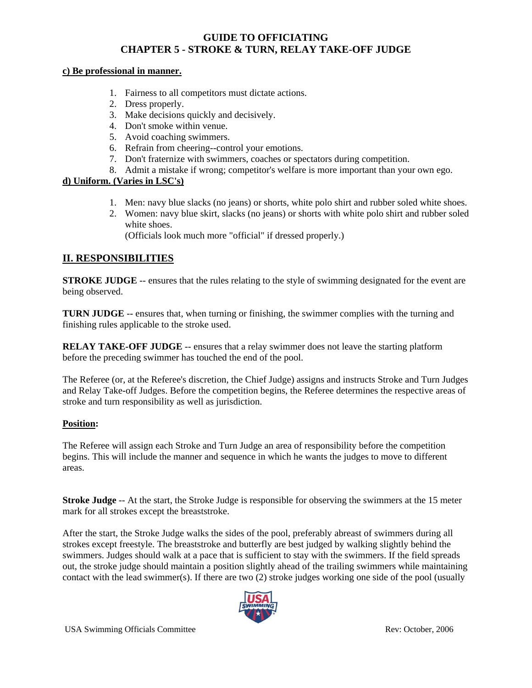#### **c) Be professional in manner.**

- 1. Fairness to all competitors must dictate actions.
- 2. Dress properly.
- 3. Make decisions quickly and decisively.
- 4. Don't smoke within venue.
- 5. Avoid coaching swimmers.
- 6. Refrain from cheering--control your emotions.
- 7. Don't fraternize with swimmers, coaches or spectators during competition.
- 8. Admit a mistake if wrong; competitor's welfare is more important than your own ego.

## **d) Uniform. (Varies in LSC's)**

- 1. Men: navy blue slacks (no jeans) or shorts, white polo shirt and rubber soled white shoes.
- 2. Women: navy blue skirt, slacks (no jeans) or shorts with white polo shirt and rubber soled white shoes.

(Officials look much more "official" if dressed properly.)

# **II. RESPONSIBILITIES**

**STROKE JUDGE** -- ensures that the rules relating to the style of swimming designated for the event are being observed.

**TURN JUDGE** -- ensures that, when turning or finishing, the swimmer complies with the turning and finishing rules applicable to the stroke used.

**RELAY TAKE-OFF JUDGE** -- ensures that a relay swimmer does not leave the starting platform before the preceding swimmer has touched the end of the pool.

The Referee (or, at the Referee's discretion, the Chief Judge) assigns and instructs Stroke and Turn Judges and Relay Take-off Judges. Before the competition begins, the Referee determines the respective areas of stroke and turn responsibility as well as jurisdiction.

## **Position:**

The Referee will assign each Stroke and Turn Judge an area of responsibility before the competition begins. This will include the manner and sequence in which he wants the judges to move to different areas.

**Stroke Judge** -- At the start, the Stroke Judge is responsible for observing the swimmers at the 15 meter mark for all strokes except the breaststroke.

After the start, the Stroke Judge walks the sides of the pool, preferably abreast of swimmers during all strokes except freestyle. The breaststroke and butterfly are best judged by walking slightly behind the swimmers. Judges should walk at a pace that is sufficient to stay with the swimmers. If the field spreads out, the stroke judge should maintain a position slightly ahead of the trailing swimmers while maintaining contact with the lead swimmer(s). If there are two  $(2)$  stroke judges working one side of the pool (usually

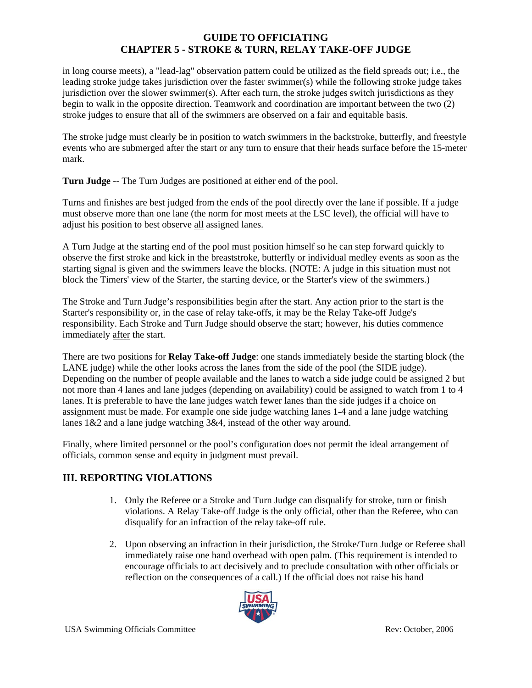in long course meets), a "lead-lag" observation pattern could be utilized as the field spreads out; i.e., the leading stroke judge takes jurisdiction over the faster swimmer(s) while the following stroke judge takes jurisdiction over the slower swimmer(s). After each turn, the stroke judges switch jurisdictions as they begin to walk in the opposite direction. Teamwork and coordination are important between the two (2) stroke judges to ensure that all of the swimmers are observed on a fair and equitable basis.

The stroke judge must clearly be in position to watch swimmers in the backstroke, butterfly, and freestyle events who are submerged after the start or any turn to ensure that their heads surface before the 15-meter mark.

**Turn Judge** -- The Turn Judges are positioned at either end of the pool.

Turns and finishes are best judged from the ends of the pool directly over the lane if possible. If a judge must observe more than one lane (the norm for most meets at the LSC level), the official will have to adjust his position to best observe all assigned lanes.

A Turn Judge at the starting end of the pool must position himself so he can step forward quickly to observe the first stroke and kick in the breaststroke, butterfly or individual medley events as soon as the starting signal is given and the swimmers leave the blocks. (NOTE: A judge in this situation must not block the Timers' view of the Starter, the starting device, or the Starter's view of the swimmers.)

The Stroke and Turn Judge's responsibilities begin after the start. Any action prior to the start is the Starter's responsibility or, in the case of relay take-offs, it may be the Relay Take-off Judge's responsibility. Each Stroke and Turn Judge should observe the start; however, his duties commence immediately after the start.

There are two positions for **Relay Take-off Judge**: one stands immediately beside the starting block (the LANE judge) while the other looks across the lanes from the side of the pool (the SIDE judge). Depending on the number of people available and the lanes to watch a side judge could be assigned 2 but not more than 4 lanes and lane judges (depending on availability) could be assigned to watch from 1 to 4 lanes. It is preferable to have the lane judges watch fewer lanes than the side judges if a choice on assignment must be made. For example one side judge watching lanes 1-4 and a lane judge watching lanes 1&2 and a lane judge watching 3&4, instead of the other way around.

Finally, where limited personnel or the pool's configuration does not permit the ideal arrangement of officials, common sense and equity in judgment must prevail.

# **III. REPORTING VIOLATIONS**

- 1. Only the Referee or a Stroke and Turn Judge can disqualify for stroke, turn or finish violations. A Relay Take-off Judge is the only official, other than the Referee, who can disqualify for an infraction of the relay take-off rule.
- 2. Upon observing an infraction in their jurisdiction, the Stroke/Turn Judge or Referee shall immediately raise one hand overhead with open palm. (This requirement is intended to encourage officials to act decisively and to preclude consultation with other officials or reflection on the consequences of a call.) If the official does not raise his hand

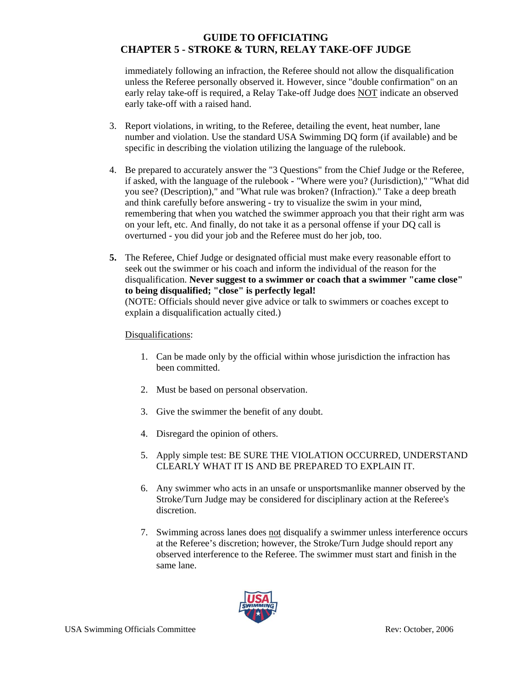immediately following an infraction, the Referee should not allow the disqualification unless the Referee personally observed it. However, since "double confirmation" on an early relay take-off is required, a Relay Take-off Judge does NOT indicate an observed early take-off with a raised hand.

- 3. Report violations, in writing, to the Referee, detailing the event, heat number, lane number and violation. Use the standard USA Swimming DQ form (if available) and be specific in describing the violation utilizing the language of the rulebook.
- 4. Be prepared to accurately answer the "3 Questions" from the Chief Judge or the Referee, if asked, with the language of the rulebook - "Where were you? (Jurisdiction)," "What did you see? (Description)," and "What rule was broken? (Infraction)." Take a deep breath and think carefully before answering - try to visualize the swim in your mind, remembering that when you watched the swimmer approach you that their right arm was on your left, etc. And finally, do not take it as a personal offense if your DQ call is overturned - you did your job and the Referee must do her job, too.
- **5.** The Referee, Chief Judge or designated official must make every reasonable effort to seek out the swimmer or his coach and inform the individual of the reason for the disqualification. **Never suggest to a swimmer or coach that a swimmer "came close" to being disqualified; "close" is perfectly legal!**  (NOTE: Officials should never give advice or talk to swimmers or coaches except to

explain a disqualification actually cited.)

### Disqualifications:

- 1. Can be made only by the official within whose jurisdiction the infraction has been committed.
- 2. Must be based on personal observation.
- 3. Give the swimmer the benefit of any doubt.
- 4. Disregard the opinion of others.
- 5. Apply simple test: BE SURE THE VIOLATION OCCURRED, UNDERSTAND CLEARLY WHAT IT IS AND BE PREPARED TO EXPLAIN IT.
- 6. Any swimmer who acts in an unsafe or unsportsmanlike manner observed by the Stroke/Turn Judge may be considered for disciplinary action at the Referee's discretion.
- 7. Swimming across lanes does not disqualify a swimmer unless interference occurs at the Referee's discretion; however, the Stroke/Turn Judge should report any observed interference to the Referee. The swimmer must start and finish in the same lane.

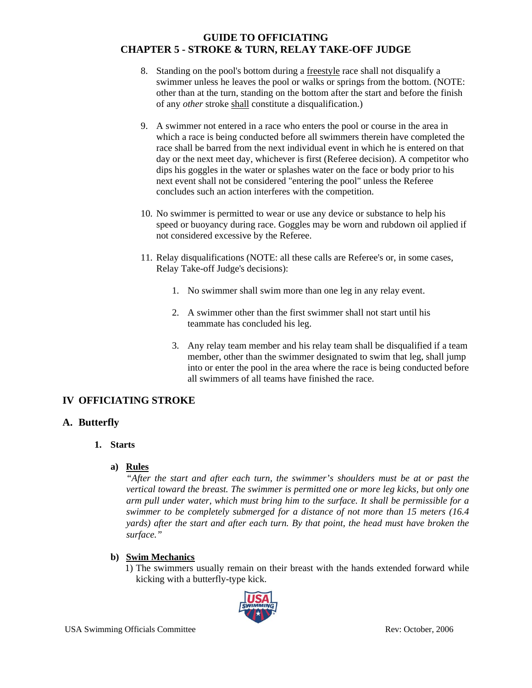- 8. Standing on the pool's bottom during a freestyle race shall not disqualify a swimmer unless he leaves the pool or walks or springs from the bottom. (NOTE: other than at the turn, standing on the bottom after the start and before the finish of any *other* stroke shall constitute a disqualification.)
- 9. A swimmer not entered in a race who enters the pool or course in the area in which a race is being conducted before all swimmers therein have completed the race shall be barred from the next individual event in which he is entered on that day or the next meet day, whichever is first (Referee decision). A competitor who dips his goggles in the water or splashes water on the face or body prior to his next event shall not be considered "entering the pool" unless the Referee concludes such an action interferes with the competition.
- 10. No swimmer is permitted to wear or use any device or substance to help his speed or buoyancy during race. Goggles may be worn and rubdown oil applied if not considered excessive by the Referee.
- 11. Relay disqualifications (NOTE: all these calls are Referee's or, in some cases, Relay Take-off Judge's decisions):
	- 1. No swimmer shall swim more than one leg in any relay event.
	- 2. A swimmer other than the first swimmer shall not start until his teammate has concluded his leg.
	- 3. Any relay team member and his relay team shall be disqualified if a team member, other than the swimmer designated to swim that leg, shall jump into or enter the pool in the area where the race is being conducted before all swimmers of all teams have finished the race.

# **IV OFFICIATING STROKE**

# **A. Butterfly**

## **1. Starts**

## **a) Rules**

*"After the start and after each turn, the swimmer's shoulders must be at or past the vertical toward the breast. The swimmer is permitted one or more leg kicks, but only one arm pull under water, which must bring him to the surface. It shall be permissible for a swimmer to be completely submerged for a distance of not more than 15 meters (16.4 yards) after the start and after each turn. By that point, the head must have broken the surface."* 

# **b) Swim Mechanics**

1) The swimmers usually remain on their breast with the hands extended forward while kicking with a butterfly-type kick.

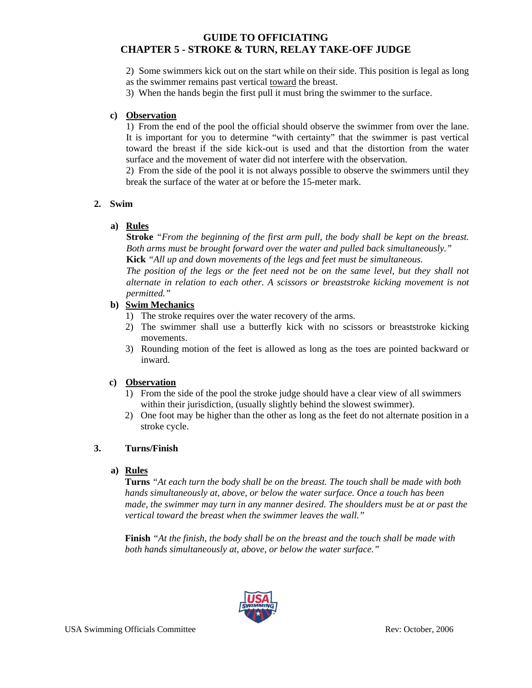2) Some swimmers kick out on the start while on their side. This position is legal as long as the swimmer remains past vertical toward the breast.

3) When the hands begin the first pull it must bring the swimmer to the surface.

#### **c) Observation**

1) From the end of the pool the official should observe the swimmer from over the lane. It is important for you to determine "with certainty" that the swimmer is past vertical toward the breast if the side kick-out is used and that the distortion from the water surface and the movement of water did not interfere with the observation.

2) From the side of the pool it is not always possible to observe the swimmers until they break the surface of the water at or before the 15-meter mark.

#### **2. Swim**

#### **a) Rules**

**Stroke** *"From the beginning of the first arm pull, the body shall be kept on the breast. Both arms must be brought forward over the water and pulled back simultaneously."*  **Kick** *"All up and down movements of the legs and feet must be simultaneous.* 

*The position of the legs or the feet need not be on the same level, but they shall not alternate in relation to each other. A scissors or breaststroke kicking movement is not permitted."* 

#### **b) Swim Mechanics**

- 1) The stroke requires over the water recovery of the arms.
- 2) The swimmer shall use a butterfly kick with no scissors or breaststroke kicking movements.
- 3) Rounding motion of the feet is allowed as long as the toes are pointed backward or inward.

#### **c) Observation**

- 1) From the side of the pool the stroke judge should have a clear view of all swimmers within their jurisdiction, (usually slightly behind the slowest swimmer).
- 2) One foot may be higher than the other as long as the feet do not alternate position in a stroke cycle.

#### **3. Turns/Finish**

#### **a) Rules**

**Turns** *"At each turn the body shall be on the breast. The touch shall be made with both hands simultaneously at, above, or below the water surface. Once a touch has been made, the swimmer may turn in any manner desired. The shoulders must be at or past the vertical toward the breast when the swimmer leaves the wall."* 

**Finish** *"At the finish, the body shall be on the breast and the touch shall be made with both hands simultaneously at, above, or below the water surface."* 

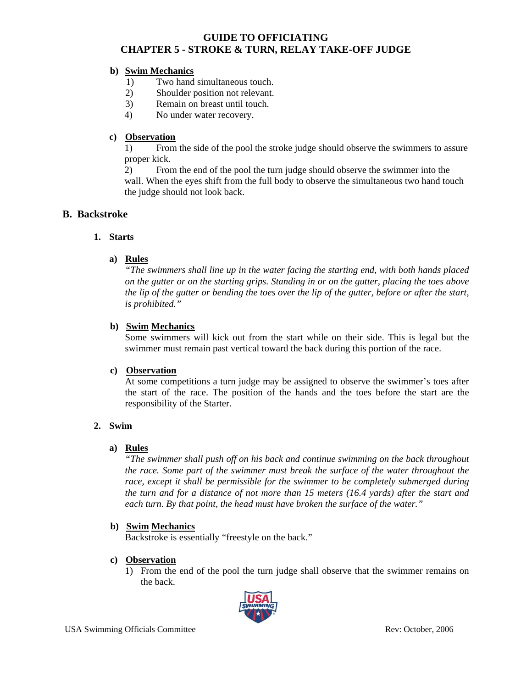### **b) Swim Mechanics**

- 1) Two hand simultaneous touch.
- 2) Shoulder position not relevant.
- 3) Remain on breast until touch.
- 4) No under water recovery.

### **c) Observation**

 1) From the side of the pool the stroke judge should observe the swimmers to assure proper kick.

 2) From the end of the pool the turn judge should observe the swimmer into the wall. When the eyes shift from the full body to observe the simultaneous two hand touch the judge should not look back.

## **B. Backstroke**

#### **1. Starts**

### **a) Rules**

*"The swimmers shall line up in the water facing the starting end, with both hands placed on the gutter or on the starting grips. Standing in or on the gutter, placing the toes above the lip of the gutter or bending the toes over the lip of the gutter, before or after the start, is prohibited."* 

### **b) Swim Mechanics**

Some swimmers will kick out from the start while on their side. This is legal but the swimmer must remain past vertical toward the back during this portion of the race.

#### **c) Observation**

At some competitions a turn judge may be assigned to observe the swimmer's toes after the start of the race. The position of the hands and the toes before the start are the responsibility of the Starter.

#### **2. Swim**

#### **a) Rules**

*"The swimmer shall push off on his back and continue swimming on the back throughout the race. Some part of the swimmer must break the surface of the water throughout the* race, except it shall be permissible for the swimmer to be completely submerged during *the turn and for a distance of not more than 15 meters (16.4 yards) after the start and each turn. By that point, the head must have broken the surface of the water."* 

#### **b) Swim Mechanics**

Backstroke is essentially "freestyle on the back."

#### **c) Observation**

1) From the end of the pool the turn judge shall observe that the swimmer remains on the back.

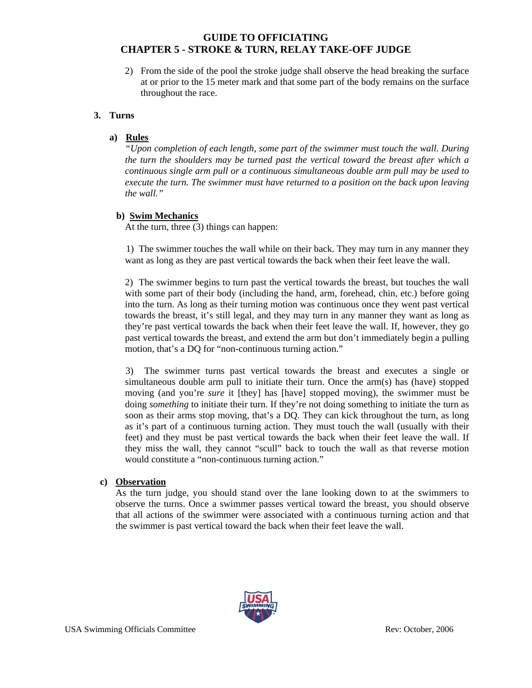2) From the side of the pool the stroke judge shall observe the head breaking the surface at or prior to the 15 meter mark and that some part of the body remains on the surface throughout the race.

#### **3. Turns**

### **a) Rules**

*"Upon completion of each length, some part of the swimmer must touch the wall. During the turn the shoulders may be turned past the vertical toward the breast after which a continuous single arm pull or a continuous simultaneous double arm pull may be used to execute the turn. The swimmer must have returned to a position on the back upon leaving the wall."* 

### **b) Swim Mechanics**

At the turn, three (3) things can happen:

 1) The swimmer touches the wall while on their back. They may turn in any manner they want as long as they are past vertical towards the back when their feet leave the wall.

 2) The swimmer begins to turn past the vertical towards the breast, but touches the wall with some part of their body (including the hand, arm, forehead, chin, etc.) before going into the turn. As long as their turning motion was continuous once they went past vertical towards the breast, it's still legal, and they may turn in any manner they want as long as they're past vertical towards the back when their feet leave the wall. If, however, they go past vertical towards the breast, and extend the arm but don't immediately begin a pulling motion, that's a DQ for "non-continuous turning action."

 3) The swimmer turns past vertical towards the breast and executes a single or simultaneous double arm pull to initiate their turn. Once the arm(s) has (have) stopped moving (and you're *sure* it [they] has [have] stopped moving), the swimmer must be doing *something* to initiate their turn. If they're not doing something to initiate the turn as soon as their arms stop moving, that's a DQ. They can kick throughout the turn, as long as it's part of a continuous turning action. They must touch the wall (usually with their feet) and they must be past vertical towards the back when their feet leave the wall. If they miss the wall, they cannot "scull" back to touch the wall as that reverse motion would constitute a "non-continuous turning action."

#### **c) Observation**

As the turn judge, you should stand over the lane looking down to at the swimmers to observe the turns. Once a swimmer passes vertical toward the breast, you should observe that all actions of the swimmer were associated with a continuous turning action and that the swimmer is past vertical toward the back when their feet leave the wall.

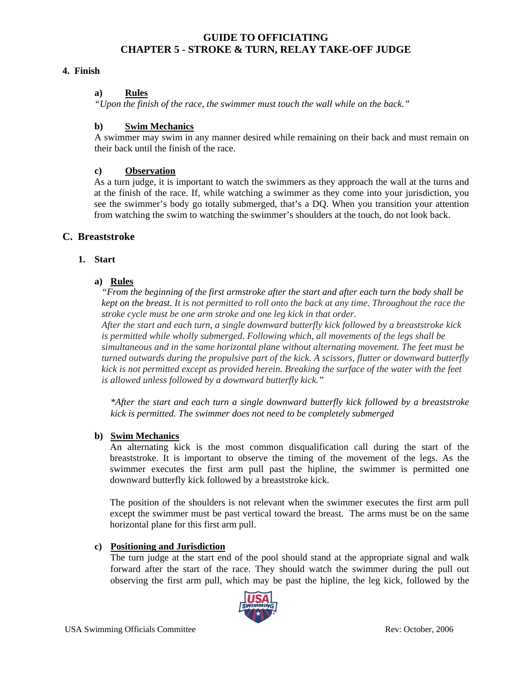#### **4. Finish**

#### **a) Rules**

*"Upon the finish of the race, the swimmer must touch the wall while on the back."* 

#### **b) Swim Mechanics**

A swimmer may swim in any manner desired while remaining on their back and must remain on their back until the finish of the race.

#### **c) Observation**

As a turn judge, it is important to watch the swimmers as they approach the wall at the turns and at the finish of the race. If, while watching a swimmer as they come into your jurisdiction, you see the swimmer's body go totally submerged, that's a DQ. When you transition your attention from watching the swim to watching the swimmer's shoulders at the touch, do not look back.

### **C. Breaststroke**

#### **1. Start**

#### **a) Rules**

*"From the beginning of the first armstroke after the start and after each turn the body shall be kept on the breast. It is not permitted to roll onto the back at any time. Throughout the race the stroke cycle must be one arm stroke and one leg kick in that order.* 

*After the start and each turn, a single downward butterfly kick followed by a breaststroke kick is permitted while wholly submerged. Following which, all movements of the legs shall be simultaneous and in the same horizontal plane without alternating movement. The feet must be turned outwards during the propulsive part of the kick. A scissors, flutter or downward butterfly kick is not permitted except as provided herein. Breaking the surface of the water with the feet is allowed unless followed by a downward butterfly kick."* 

*\*After the start and each turn a single downward butterfly kick followed by a breaststroke kick is permitted. The swimmer does not need to be completely submerged* 

#### **b) Swim Mechanics**

An alternating kick is the most common disqualification call during the start of the breaststroke. It is important to observe the timing of the movement of the legs. As the swimmer executes the first arm pull past the hipline, the swimmer is permitted one downward butterfly kick followed by a breaststroke kick.

The position of the shoulders is not relevant when the swimmer executes the first arm pull except the swimmer must be past vertical toward the breast. The arms must be on the same horizontal plane for this first arm pull.

#### **c) Positioning and Jurisdiction**

The turn judge at the start end of the pool should stand at the appropriate signal and walk forward after the start of the race. They should watch the swimmer during the pull out observing the first arm pull, which may be past the hipline, the leg kick, followed by the

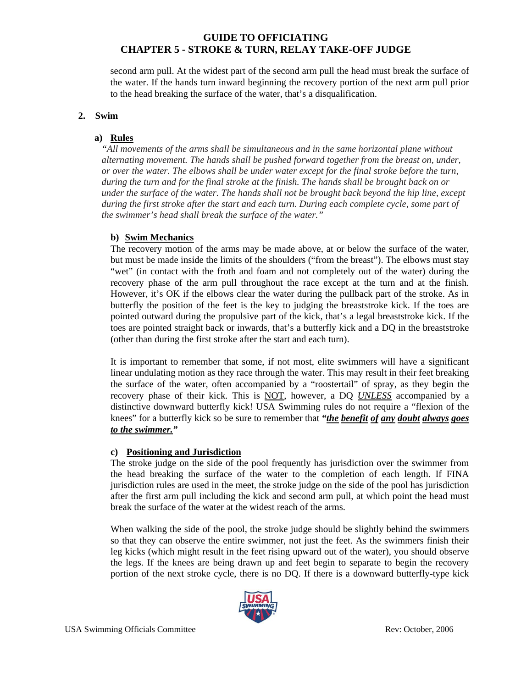second arm pull. At the widest part of the second arm pull the head must break the surface of the water. If the hands turn inward beginning the recovery portion of the next arm pull prior to the head breaking the surface of the water, that's a disqualification.

### **2. Swim**

### **a) Rules**

*"All movements of the arms shall be simultaneous and in the same horizontal plane without alternating movement. The hands shall be pushed forward together from the breast on, under, or over the water. The elbows shall be under water except for the final stroke before the turn, during the turn and for the final stroke at the finish. The hands shall be brought back on or under the surface of the water. The hands shall not be brought back beyond the hip line, except during the first stroke after the start and each turn. During each complete cycle, some part of the swimmer's head shall break the surface of the water."* 

## **b) Swim Mechanics**

The recovery motion of the arms may be made above, at or below the surface of the water, but must be made inside the limits of the shoulders ("from the breast"). The elbows must stay "wet" (in contact with the froth and foam and not completely out of the water) during the recovery phase of the arm pull throughout the race except at the turn and at the finish. However, it's OK if the elbows clear the water during the pullback part of the stroke. As in butterfly the position of the feet is the key to judging the breaststroke kick. If the toes are pointed outward during the propulsive part of the kick, that's a legal breaststroke kick. If the toes are pointed straight back or inwards, that's a butterfly kick and a DQ in the breaststroke (other than during the first stroke after the start and each turn).

It is important to remember that some, if not most, elite swimmers will have a significant linear undulating motion as they race through the water. This may result in their feet breaking the surface of the water, often accompanied by a "roostertail" of spray, as they begin the recovery phase of their kick. This is NOT, however, a DQ *UNLESS* accompanied by a distinctive downward butterfly kick! USA Swimming rules do not require a "flexion of the knees" for a butterfly kick so be sure to remember that *"the benefit of any doubt always goes to the swimmer."* 

## **c) Positioning and Jurisdiction**

The stroke judge on the side of the pool frequently has jurisdiction over the swimmer from the head breaking the surface of the water to the completion of each length. If FINA jurisdiction rules are used in the meet, the stroke judge on the side of the pool has jurisdiction after the first arm pull including the kick and second arm pull, at which point the head must break the surface of the water at the widest reach of the arms.

When walking the side of the pool, the stroke judge should be slightly behind the swimmers so that they can observe the entire swimmer, not just the feet. As the swimmers finish their leg kicks (which might result in the feet rising upward out of the water), you should observe the legs. If the knees are being drawn up and feet begin to separate to begin the recovery portion of the next stroke cycle, there is no DQ. If there is a downward butterfly-type kick

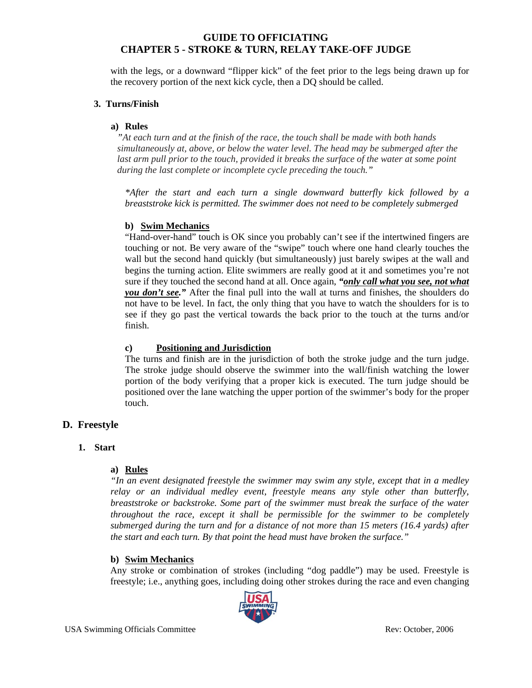with the legs, or a downward "flipper kick" of the feet prior to the legs being drawn up for the recovery portion of the next kick cycle, then a DQ should be called.

#### **3. Turns/Finish**

#### **a) Rules**

*"At each turn and at the finish of the race, the touch shall be made with both hands simultaneously at, above, or below the water level. The head may be submerged after the*  last arm pull prior to the touch, provided it breaks the surface of the water at some point *during the last complete or incomplete cycle preceding the touch."* 

*\*After the start and each turn a single downward butterfly kick followed by a breaststroke kick is permitted. The swimmer does not need to be completely submerged* 

#### **b) Swim Mechanics**

"Hand-over-hand" touch is OK since you probably can't see if the intertwined fingers are touching or not. Be very aware of the "swipe" touch where one hand clearly touches the wall but the second hand quickly (but simultaneously) just barely swipes at the wall and begins the turning action. Elite swimmers are really good at it and sometimes you're not sure if they touched the second hand at all. Once again, *"only call what you see, not what you don't see."* After the final pull into the wall at turns and finishes, the shoulders do not have to be level. In fact, the only thing that you have to watch the shoulders for is to see if they go past the vertical towards the back prior to the touch at the turns and/or finish.

#### **c) Positioning and Jurisdiction**

The turns and finish are in the jurisdiction of both the stroke judge and the turn judge. The stroke judge should observe the swimmer into the wall/finish watching the lower portion of the body verifying that a proper kick is executed. The turn judge should be positioned over the lane watching the upper portion of the swimmer's body for the proper touch.

#### **D. Freestyle**

#### **1. Start**

#### **a) Rules**

*"In an event designated freestyle the swimmer may swim any style, except that in a medley relay or an individual medley event, freestyle means any style other than butterfly, breaststroke or backstroke. Some part of the swimmer must break the surface of the water throughout the race, except it shall be permissible for the swimmer to be completely submerged during the turn and for a distance of not more than 15 meters (16.4 yards) after the start and each turn. By that point the head must have broken the surface."* 

#### **b) Swim Mechanics**

Any stroke or combination of strokes (including "dog paddle") may be used. Freestyle is freestyle; i.e., anything goes, including doing other strokes during the race and even changing

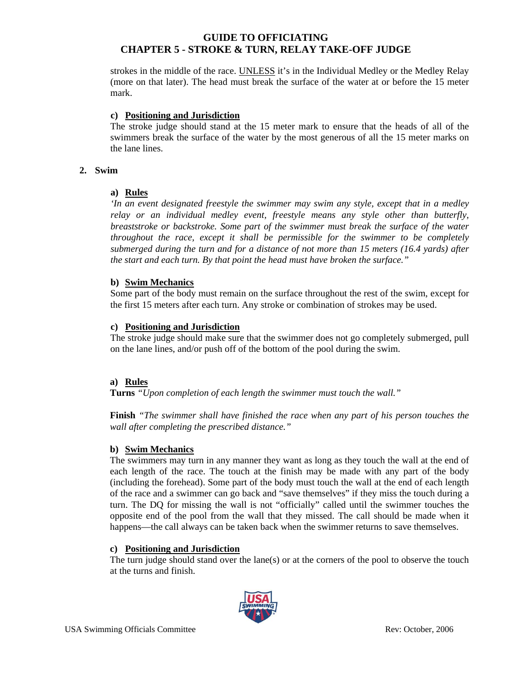strokes in the middle of the race. UNLESS it's in the Individual Medley or the Medley Relay (more on that later). The head must break the surface of the water at or before the 15 meter mark.

#### **c) Positioning and Jurisdiction**

The stroke judge should stand at the 15 meter mark to ensure that the heads of all of the swimmers break the surface of the water by the most generous of all the 15 meter marks on the lane lines.

#### **2. Swim**

#### **a) Rules**

*'In an event designated freestyle the swimmer may swim any style, except that in a medley relay or an individual medley event, freestyle means any style other than butterfly, breaststroke or backstroke. Some part of the swimmer must break the surface of the water throughout the race, except it shall be permissible for the swimmer to be completely submerged during the turn and for a distance of not more than 15 meters (16.4 yards) after the start and each turn. By that point the head must have broken the surface."* 

#### **b) Swim Mechanics**

Some part of the body must remain on the surface throughout the rest of the swim, except for the first 15 meters after each turn. Any stroke or combination of strokes may be used.

#### **c) Positioning and Jurisdiction**

The stroke judge should make sure that the swimmer does not go completely submerged, pull on the lane lines, and/or push off of the bottom of the pool during the swim.

#### **a) Rules**

**Turns** *"Upon completion of each length the swimmer must touch the wall."* 

**Finish** *"The swimmer shall have finished the race when any part of his person touches the wall after completing the prescribed distance."* 

#### **b) Swim Mechanics**

The swimmers may turn in any manner they want as long as they touch the wall at the end of each length of the race. The touch at the finish may be made with any part of the body (including the forehead). Some part of the body must touch the wall at the end of each length of the race and a swimmer can go back and "save themselves" if they miss the touch during a turn. The DQ for missing the wall is not "officially" called until the swimmer touches the opposite end of the pool from the wall that they missed. The call should be made when it happens—the call always can be taken back when the swimmer returns to save themselves.

#### **c) Positioning and Jurisdiction**

The turn judge should stand over the lane(s) or at the corners of the pool to observe the touch at the turns and finish.

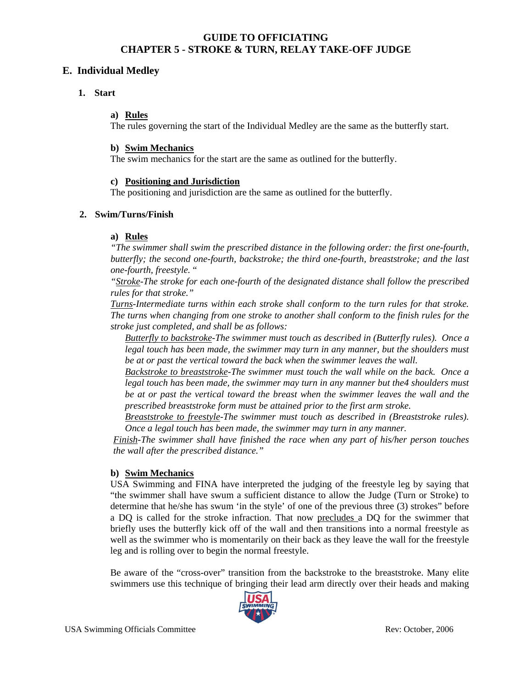### **E. Individual Medley**

#### **1. Start**

### **a) Rules**

The rules governing the start of the Individual Medley are the same as the butterfly start.

#### **b) Swim Mechanics**

The swim mechanics for the start are the same as outlined for the butterfly.

#### **c) Positioning and Jurisdiction**

The positioning and jurisdiction are the same as outlined for the butterfly.

#### **2. Swim/Turns/Finish**

### **a) Rules**

*"The swimmer shall swim the prescribed distance in the following order: the first one-fourth, butterfly; the second one-fourth, backstroke; the third one-fourth, breaststroke; and the last one-fourth, freestyle.* "

*"Stroke-The stroke for each one-fourth of the designated distance shall follow the prescribed rules for that stroke."* 

*Turns-Intermediate turns within each stroke shall conform to the turn rules for that stroke. The turns when changing from one stroke to another shall conform to the finish rules for the stroke just completed, and shall be as follows:* 

*Butterfly to backstroke-The swimmer must touch as described in (Butterfly rules). Once a legal touch has been made, the swimmer may turn in any manner, but the shoulders must be at or past the vertical toward the back when the swimmer leaves the wall.* 

*Backstroke to breaststroke-The swimmer must touch the wall while on the back. Once a legal touch has been made, the swimmer may turn in any manner but the4 shoulders must be at or past the vertical toward the breast when the swimmer leaves the wall and the prescribed breaststroke form must be attained prior to the first arm stroke.* 

*Breaststroke to freestyle-The swimmer must touch as described in (Breaststroke rules). Once a legal touch has been made, the swimmer may turn in any manner.* 

*Finish-The swimmer shall have finished the race when any part of his/her person touches the wall after the prescribed distance."* 

#### **b) Swim Mechanics**

USA Swimming and FINA have interpreted the judging of the freestyle leg by saying that "the swimmer shall have swum a sufficient distance to allow the Judge (Turn or Stroke) to determine that he/she has swum 'in the style' of one of the previous three (3) strokes" before a DQ is called for the stroke infraction. That now precludes a DQ for the swimmer that briefly uses the butterfly kick off of the wall and then transitions into a normal freestyle as well as the swimmer who is momentarily on their back as they leave the wall for the freestyle leg and is rolling over to begin the normal freestyle.

Be aware of the "cross-over" transition from the backstroke to the breaststroke. Many elite swimmers use this technique of bringing their lead arm directly over their heads and making

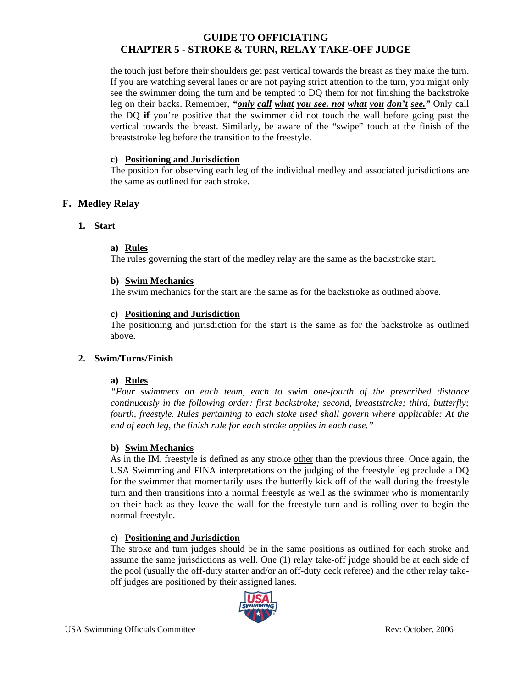the touch just before their shoulders get past vertical towards the breast as they make the turn. If you are watching several lanes or are not paying strict attention to the turn, you might only see the swimmer doing the turn and be tempted to DQ them for not finishing the backstroke leg on their backs. Remember, *"only call what you see. not what you don't see."* Only call the DQ **if** you're positive that the swimmer did not touch the wall before going past the vertical towards the breast. Similarly, be aware of the "swipe" touch at the finish of the breaststroke leg before the transition to the freestyle.

### **c) Positioning and Jurisdiction**

The position for observing each leg of the individual medley and associated jurisdictions are the same as outlined for each stroke.

## **F. Medley Relay**

## **1. Start**

#### **a) Rules**

The rules governing the start of the medley relay are the same as the backstroke start.

#### **b) Swim Mechanics**

The swim mechanics for the start are the same as for the backstroke as outlined above.

#### **c) Positioning and Jurisdiction**

The positioning and jurisdiction for the start is the same as for the backstroke as outlined above.

#### **2. Swim/Turns/Finish**

#### **a) Rules**

*"Four swimmers on each team, each to swim one-fourth of the prescribed distance continuously in the following order: first backstroke; second, breaststroke; third, butterfly; fourth, freestyle. Rules pertaining to each stoke used shall govern where applicable: At the end of each leg, the finish rule for each stroke applies in each case."* 

#### **b) Swim Mechanics**

As in the IM, freestyle is defined as any stroke other than the previous three. Once again, the USA Swimming and FINA interpretations on the judging of the freestyle leg preclude a DQ for the swimmer that momentarily uses the butterfly kick off of the wall during the freestyle turn and then transitions into a normal freestyle as well as the swimmer who is momentarily on their back as they leave the wall for the freestyle turn and is rolling over to begin the normal freestyle.

#### **c) Positioning and Jurisdiction**

The stroke and turn judges should be in the same positions as outlined for each stroke and assume the same jurisdictions as well. One (1) relay take-off judge should be at each side of the pool (usually the off-duty starter and/or an off-duty deck referee) and the other relay takeoff judges are positioned by their assigned lanes.

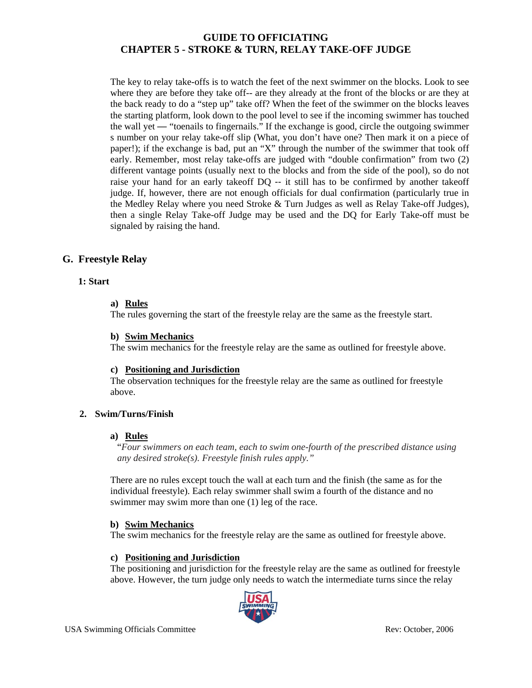The key to relay take-offs is to watch the feet of the next swimmer on the blocks. Look to see where they are before they take off-- are they already at the front of the blocks or are they at the back ready to do a "step up" take off? When the feet of the swimmer on the blocks leaves the starting platform, look down to the pool level to see if the incoming swimmer has touched the wall yet — "toenails to fingernails." If the exchange is good, circle the outgoing swimmer s number on your relay take-off slip (What, you don't have one? Then mark it on a piece of paper!); if the exchange is bad, put an "X" through the number of the swimmer that took off early. Remember, most relay take-offs are judged with "double confirmation" from two (2) different vantage points (usually next to the blocks and from the side of the pool), so do not raise your hand for an early takeoff DQ -- it still has to be confirmed by another takeoff judge. If, however, there are not enough officials for dual confirmation (particularly true in the Medley Relay where you need Stroke & Turn Judges as well as Relay Take-off Judges), then a single Relay Take-off Judge may be used and the DQ for Early Take-off must be signaled by raising the hand.

## **G. Freestyle Relay**

## **1: Start**

#### **a) Rules**

The rules governing the start of the freestyle relay are the same as the freestyle start.

#### **b) Swim Mechanics**

The swim mechanics for the freestyle relay are the same as outlined for freestyle above.

#### **c) Positioning and Jurisdiction**

The observation techniques for the freestyle relay are the same as outlined for freestyle above.

#### **2. Swim/Turns/Finish**

#### **a) Rules**

"*Four swimmers on each team, each to swim one-fourth of the prescribed distance using any desired stroke(s). Freestyle finish rules apply."*

There are no rules except touch the wall at each turn and the finish (the same as for the individual freestyle). Each relay swimmer shall swim a fourth of the distance and no swimmer may swim more than one (1) leg of the race.

#### **b) Swim Mechanics**

The swim mechanics for the freestyle relay are the same as outlined for freestyle above.

#### **c) Positioning and Jurisdiction**

The positioning and jurisdiction for the freestyle relay are the same as outlined for freestyle above. However, the turn judge only needs to watch the intermediate turns since the relay

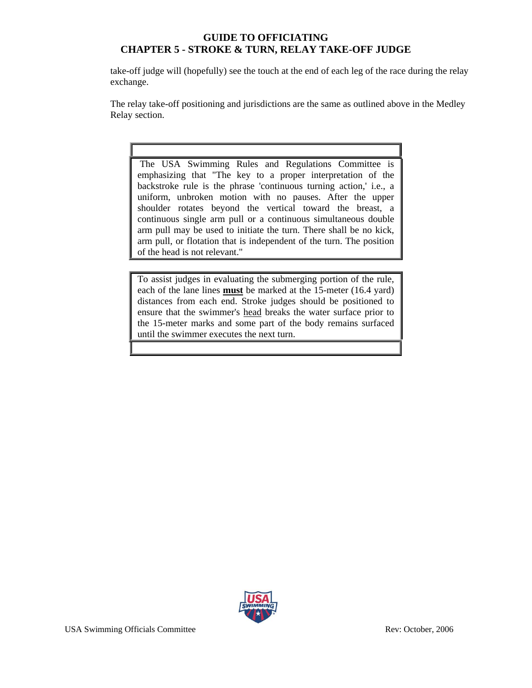take-off judge will (hopefully) see the touch at the end of each leg of the race during the relay exchange.

The relay take-off positioning and jurisdictions are the same as outlined above in the Medley Relay section.

 The USA Swimming Rules and Regulations Committee is emphasizing that "The key to a proper interpretation of the backstroke rule is the phrase 'continuous turning action,' i.e., a uniform, unbroken motion with no pauses. After the upper shoulder rotates beyond the vertical toward the breast, a continuous single arm pull or a continuous simultaneous double arm pull may be used to initiate the turn. There shall be no kick, arm pull, or flotation that is independent of the turn. The position of the head is not relevant."

To assist judges in evaluating the submerging portion of the rule, each of the lane lines **must** be marked at the 15-meter (16.4 yard) distances from each end. Stroke judges should be positioned to ensure that the swimmer's head breaks the water surface prior to the 15-meter marks and some part of the body remains surfaced until the swimmer executes the next turn.

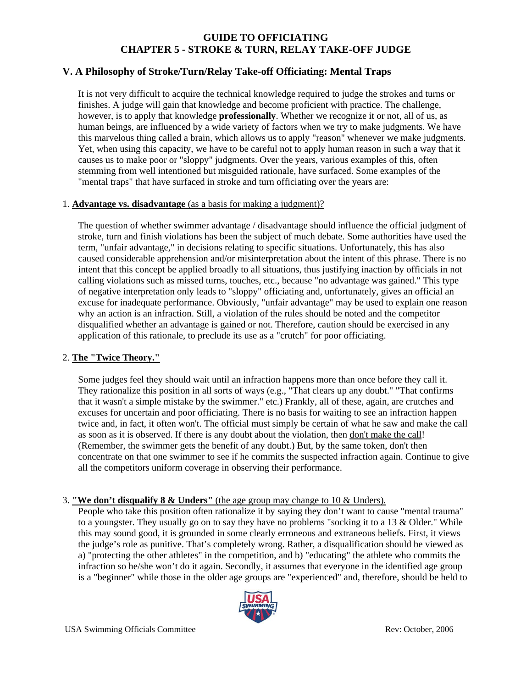# **V. A Philosophy of Stroke/Turn/Relay Take-off Officiating: Mental Traps**

It is not very difficult to acquire the technical knowledge required to judge the strokes and turns or finishes. A judge will gain that knowledge and become proficient with practice. The challenge, however, is to apply that knowledge **professionally**. Whether we recognize it or not, all of us, as human beings, are influenced by a wide variety of factors when we try to make judgments. We have this marvelous thing called a brain, which allows us to apply "reason" whenever we make judgments. Yet, when using this capacity, we have to be careful not to apply human reason in such a way that it causes us to make poor or "sloppy" judgments. Over the years, various examples of this, often stemming from well intentioned but misguided rationale, have surfaced. Some examples of the "mental traps" that have surfaced in stroke and turn officiating over the years are:

#### 1. **Advantage vs. disadvantage** (as a basis for making a judgment)?

The question of whether swimmer advantage / disadvantage should influence the official judgment of stroke, turn and finish violations has been the subject of much debate. Some authorities have used the term, "unfair advantage," in decisions relating to specific situations. Unfortunately, this has also caused considerable apprehension and/or misinterpretation about the intent of this phrase. There is no intent that this concept be applied broadly to all situations, thus justifying inaction by officials in not calling violations such as missed turns, touches, etc., because "no advantage was gained." This type of negative interpretation only leads to "sloppy" officiating and, unfortunately, gives an official an excuse for inadequate performance. Obviously, "unfair advantage" may be used to explain one reason why an action is an infraction. Still, a violation of the rules should be noted and the competitor disqualified whether an advantage is gained or not. Therefore, caution should be exercised in any application of this rationale, to preclude its use as a "crutch" for poor officiating.

#### 2. **The "Twice Theory."**

Some judges feel they should wait until an infraction happens more than once before they call it. They rationalize this position in all sorts of ways (e.g., "That clears up any doubt." "That confirms that it wasn't a simple mistake by the swimmer." etc.) Frankly, all of these, again, are crutches and excuses for uncertain and poor officiating. There is no basis for waiting to see an infraction happen twice and, in fact, it often won't. The official must simply be certain of what he saw and make the call as soon as it is observed. If there is any doubt about the violation, then don't make the call! (Remember, the swimmer gets the benefit of any doubt.) But, by the same token, don't then concentrate on that one swimmer to see if he commits the suspected infraction again. Continue to give all the competitors uniform coverage in observing their performance.

#### 3. **"We don't disqualify 8 & Unders"** (the age group may change to 10 & Unders).

People who take this position often rationalize it by saying they don't want to cause "mental trauma" to a youngster. They usually go on to say they have no problems "socking it to a 13 & Older." While this may sound good, it is grounded in some clearly erroneous and extraneous beliefs. First, it views the judge's role as punitive. That's completely wrong. Rather, a disqualification should be viewed as a) "protecting the other athletes" in the competition, and b) "educating" the athlete who commits the infraction so he/she won't do it again. Secondly, it assumes that everyone in the identified age group is a "beginner" while those in the older age groups are "experienced" and, therefore, should be held to

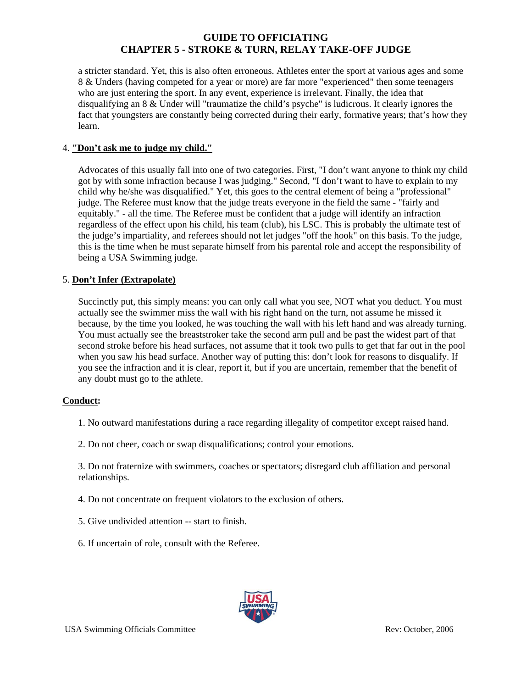a stricter standard. Yet, this is also often erroneous. Athletes enter the sport at various ages and some 8 & Unders (having competed for a year or more) are far more "experienced" then some teenagers who are just entering the sport. In any event, experience is irrelevant. Finally, the idea that disqualifying an 8 & Under will "traumatize the child's psyche" is ludicrous. It clearly ignores the fact that youngsters are constantly being corrected during their early, formative years; that's how they learn.

### 4. **"Don't ask me to judge my child."**

Advocates of this usually fall into one of two categories. First, "I don't want anyone to think my child got by with some infraction because I was judging." Second, "I don't want to have to explain to my child why he/she was disqualified." Yet, this goes to the central element of being a "professional" judge. The Referee must know that the judge treats everyone in the field the same - "fairly and equitably." - all the time. The Referee must be confident that a judge will identify an infraction regardless of the effect upon his child, his team (club), his LSC. This is probably the ultimate test of the judge's impartiality, and referees should not let judges "off the hook" on this basis. To the judge, this is the time when he must separate himself from his parental role and accept the responsibility of being a USA Swimming judge.

### 5. **Don't Infer (Extrapolate)**

Succinctly put, this simply means: you can only call what you see, NOT what you deduct. You must actually see the swimmer miss the wall with his right hand on the turn, not assume he missed it because, by the time you looked, he was touching the wall with his left hand and was already turning. You must actually see the breaststroker take the second arm pull and be past the widest part of that second stroke before his head surfaces, not assume that it took two pulls to get that far out in the pool when you saw his head surface. Another way of putting this: don't look for reasons to disqualify. If you see the infraction and it is clear, report it, but if you are uncertain, remember that the benefit of any doubt must go to the athlete.

#### **Conduct:**

1. No outward manifestations during a race regarding illegality of competitor except raised hand.

2. Do not cheer, coach or swap disqualifications; control your emotions.

3. Do not fraternize with swimmers, coaches or spectators; disregard club affiliation and personal relationships.

4. Do not concentrate on frequent violators to the exclusion of others.

- 5. Give undivided attention -- start to finish.
- 6. If uncertain of role, consult with the Referee.